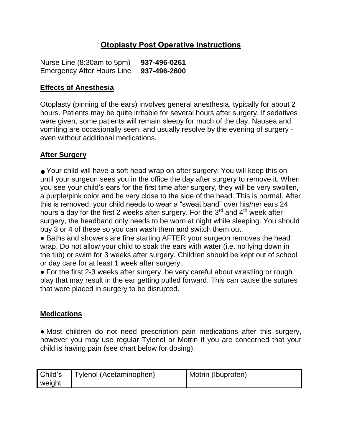# **Otoplasty Post Operative Instructions**

Nurse Line (8:30am to 5pm) **937-496-0261** Emergency After Hours Line **937-496-2600**

#### **Effects of Anesthesia**

Otoplasty (pinning of the ears) involves general anesthesia, typically for about 2 hours. Patients may be quite irritable for several hours after surgery. If sedatives were given, some patients will remain sleepy for much of the day. Nausea and vomiting are occasionally seen, and usually resolve by the evening of surgery even without additional medications.

#### **After Surgery**

● Your child will have a soft head wrap on after surgery. You will keep this on until your surgeon sees you in the office the day after surgery to remove it. When you see your child's ears for the first time after surgery, they will be very swollen, a purple/pink color and be very close to the side of the head. This is normal. After this is removed, your child needs to wear a "sweat band" over his/her ears 24 hours a day for the first 2 weeks after surgery. For the  $3<sup>rd</sup>$  and  $4<sup>th</sup>$  week after surgery, the headband only needs to be worn at night while sleeping. You should buy 3 or 4 of these so you can wash them and switch them out.

• Baths and showers are fine starting AFTER your surgeon removes the head wrap. Do not allow your child to soak the ears with water (i.e. no lying down in the tub) or swim for 3 weeks after surgery. Children should be kept out of school or day care for at least 1 week after surgery.

• For the first 2-3 weeks after surgery, be very careful about wrestling or rough play that may result in the ear getting pulled forward. This can cause the sutures that were placed in surgery to be disrupted.

#### **Medications**

● Most children do not need prescription pain medications after this surgery, however you may use regular Tylenol or Motrin if you are concerned that your child is having pain (see chart below for dosing).

| Child's | Tylenol (Acetaminophen) | Motrin (Ibuprofen) |
|---------|-------------------------|--------------------|
| weight  |                         |                    |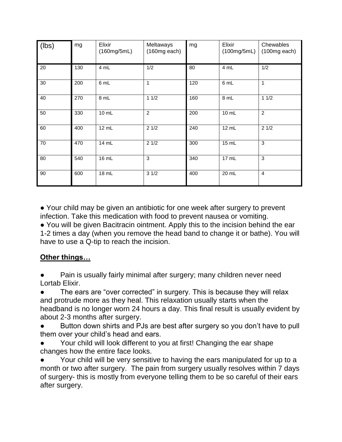| (lbs) | mg  | Elixir<br>(160mg/5mL) | Meltaways<br>$(160mg$ each) | mg  | Elixir<br>(100mg/5mL) | Chewables<br>$(100mg$ each) |
|-------|-----|-----------------------|-----------------------------|-----|-----------------------|-----------------------------|
| 20    | 130 | 4 mL                  | 1/2                         | 80  | 4 mL                  | 1/2                         |
| 30    | 200 | 6 mL                  | 1                           | 120 | 6 mL                  | $\mathbf{1}$                |
| 40    | 270 | 8 mL                  | 11/2                        | 160 | 8 mL                  | 11/2                        |
| 50    | 330 | 10 mL                 | $\overline{2}$              | 200 | 10 mL                 | $\overline{2}$              |
| 60    | 400 | 12 mL                 | 21/2                        | 240 | 12 mL                 | 21/2                        |
| 70    | 470 | 14 mL                 | 21/2                        | 300 | 15 mL                 | 3                           |
| 80    | 540 | 16 mL                 | 3                           | 340 | 17 mL                 | 3                           |
| 90    | 600 | 18 mL                 | 31/2                        | 400 | 20 mL                 | $\overline{4}$              |

● Your child may be given an antibiotic for one week after surgery to prevent infection. Take this medication with food to prevent nausea or vomiting.

● You will be given Bacitracin ointment. Apply this to the incision behind the ear 1-2 times a day (when you remove the head band to change it or bathe). You will have to use a Q-tip to reach the incision.

## **Other things…**

Pain is usually fairly minimal after surgery; many children never need Lortab Elixir.

The ears are "over corrected" in surgery. This is because they will relax and protrude more as they heal. This relaxation usually starts when the headband is no longer worn 24 hours a day. This final result is usually evident by about 2-3 months after surgery.

Button down shirts and PJs are best after surgery so you don't have to pull them over your child's head and ears.

Your child will look different to you at first! Changing the ear shape changes how the entire face looks.

Your child will be very sensitive to having the ears manipulated for up to a month or two after surgery. The pain from surgery usually resolves within 7 days of surgery- this is mostly from everyone telling them to be so careful of their ears after surgery.